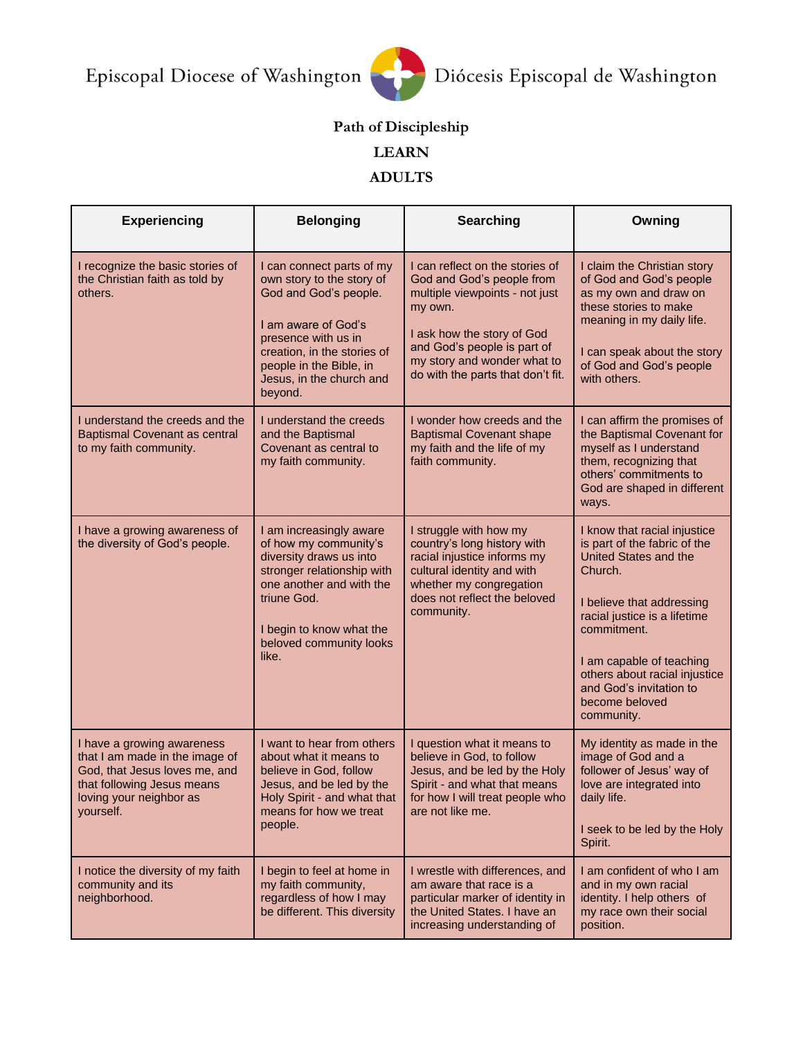

## **Path of Discipleship**

## **LEARN**

## **ADULTS**

| <b>Experiencing</b>                                                                                                                                                 | <b>Belonging</b>                                                                                                                                                                                                               | <b>Searching</b>                                                                                                                                                                                                                           | Owning                                                                                                                                                                                                                                                                                               |
|---------------------------------------------------------------------------------------------------------------------------------------------------------------------|--------------------------------------------------------------------------------------------------------------------------------------------------------------------------------------------------------------------------------|--------------------------------------------------------------------------------------------------------------------------------------------------------------------------------------------------------------------------------------------|------------------------------------------------------------------------------------------------------------------------------------------------------------------------------------------------------------------------------------------------------------------------------------------------------|
| I recognize the basic stories of<br>the Christian faith as told by<br>others.                                                                                       | I can connect parts of my<br>own story to the story of<br>God and God's people.<br>I am aware of God's<br>presence with us in<br>creation, in the stories of<br>people in the Bible, in<br>Jesus, in the church and<br>beyond. | I can reflect on the stories of<br>God and God's people from<br>multiple viewpoints - not just<br>my own.<br>I ask how the story of God<br>and God's people is part of<br>my story and wonder what to<br>do with the parts that don't fit. | I claim the Christian story<br>of God and God's people<br>as my own and draw on<br>these stories to make<br>meaning in my daily life.<br>I can speak about the story<br>of God and God's people<br>with others.                                                                                      |
| I understand the creeds and the<br><b>Baptismal Covenant as central</b><br>to my faith community.                                                                   | I understand the creeds<br>and the Baptismal<br>Covenant as central to<br>my faith community.                                                                                                                                  | I wonder how creeds and the<br><b>Baptismal Covenant shape</b><br>my faith and the life of my<br>faith community.                                                                                                                          | I can affirm the promises of<br>the Baptismal Covenant for<br>myself as I understand<br>them, recognizing that<br>others' commitments to<br>God are shaped in different<br>ways.                                                                                                                     |
| I have a growing awareness of<br>the diversity of God's people.                                                                                                     | I am increasingly aware<br>of how my community's<br>diversity draws us into<br>stronger relationship with<br>one another and with the<br>triune God.<br>I begin to know what the<br>beloved community looks<br>like.           | I struggle with how my<br>country's long history with<br>racial injustice informs my<br>cultural identity and with<br>whether my congregation<br>does not reflect the beloved<br>community.                                                | I know that racial injustice<br>is part of the fabric of the<br>United States and the<br>Church.<br>I believe that addressing<br>racial justice is a lifetime<br>commitment.<br>I am capable of teaching<br>others about racial injustice<br>and God's invitation to<br>become beloved<br>community. |
| I have a growing awareness<br>that I am made in the image of<br>God, that Jesus loves me, and<br>that following Jesus means<br>loving your neighbor as<br>yourself. | I want to hear from others<br>about what it means to<br>believe in God, follow<br>Jesus, and be led by the<br>Holy Spirit - and what that<br>means for how we treat<br>people.                                                 | I question what it means to<br>believe in God, to follow<br>Jesus, and be led by the Holy<br>Spirit - and what that means<br>for how I will treat people who<br>are not like me.                                                           | My identity as made in the<br>image of God and a<br>follower of Jesus' way of<br>love are integrated into<br>daily life.<br>I seek to be led by the Holy<br>Spirit.                                                                                                                                  |
| I notice the diversity of my faith<br>community and its<br>neighborhood.                                                                                            | I begin to feel at home in<br>my faith community,<br>regardless of how I may<br>be different. This diversity                                                                                                                   | I wrestle with differences, and<br>am aware that race is a<br>particular marker of identity in<br>the United States. I have an<br>increasing understanding of                                                                              | I am confident of who I am<br>and in my own racial<br>identity. I help others of<br>my race own their social<br>position.                                                                                                                                                                            |